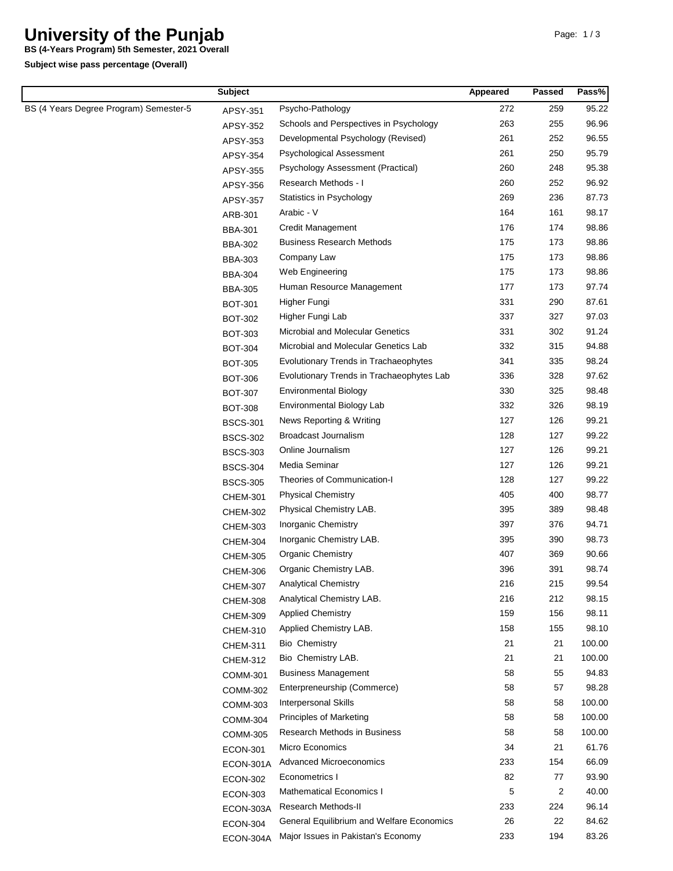## **University of the Punjab**

**BS (4-Years Program) 5th Semester, 2021 Overall**

**Subject wise pass percentage (Overall)**

| <b>Subject</b>                         |                 |                                           | Appeared | <b>Passed</b> | Pass%  |
|----------------------------------------|-----------------|-------------------------------------------|----------|---------------|--------|
| BS (4 Years Degree Program) Semester-5 | APSY-351        | Psycho-Pathology                          | 272      | 259           | 95.22  |
|                                        | APSY-352        | Schools and Perspectives in Psychology    | 263      | 255           | 96.96  |
|                                        | APSY-353        | Developmental Psychology (Revised)        | 261      | 252           | 96.55  |
|                                        | APSY-354        | Psychological Assessment                  | 261      | 250           | 95.79  |
|                                        | APSY-355        | Psychology Assessment (Practical)         | 260      | 248           | 95.38  |
|                                        | APSY-356        | Research Methods - I                      | 260      | 252           | 96.92  |
|                                        | APSY-357        | Statistics in Psychology                  | 269      | 236           | 87.73  |
|                                        | ARB-301         | Arabic - V                                | 164      | 161           | 98.17  |
|                                        | <b>BBA-301</b>  | Credit Management                         | 176      | 174           | 98.86  |
|                                        | <b>BBA-302</b>  | <b>Business Research Methods</b>          | 175      | 173           | 98.86  |
|                                        | <b>BBA-303</b>  | Company Law                               | 175      | 173           | 98.86  |
|                                        | <b>BBA-304</b>  | Web Engineering                           | 175      | 173           | 98.86  |
|                                        | <b>BBA-305</b>  | Human Resource Management                 | 177      | 173           | 97.74  |
|                                        | <b>BOT-301</b>  | Higher Fungi                              | 331      | 290           | 87.61  |
|                                        | <b>BOT-302</b>  | Higher Fungi Lab                          | 337      | 327           | 97.03  |
|                                        | BOT-303         | Microbial and Molecular Genetics          | 331      | 302           | 91.24  |
|                                        | <b>BOT-304</b>  | Microbial and Molecular Genetics Lab      | 332      | 315           | 94.88  |
|                                        | <b>BOT-305</b>  | Evolutionary Trends in Trachaeophytes     | 341      | 335           | 98.24  |
|                                        | <b>BOT-306</b>  | Evolutionary Trends in Trachaeophytes Lab | 336      | 328           | 97.62  |
|                                        | <b>BOT-307</b>  | <b>Environmental Biology</b>              | 330      | 325           | 98.48  |
|                                        | <b>BOT-308</b>  | Environmental Biology Lab                 | 332      | 326           | 98.19  |
|                                        | <b>BSCS-301</b> | News Reporting & Writing                  | 127      | 126           | 99.21  |
|                                        | <b>BSCS-302</b> | Broadcast Journalism                      | 128      | 127           | 99.22  |
|                                        | <b>BSCS-303</b> | Online Journalism                         | 127      | 126           | 99.21  |
|                                        | <b>BSCS-304</b> | Media Seminar                             | 127      | 126           | 99.21  |
|                                        | <b>BSCS-305</b> | Theories of Communication-I               | 128      | 127           | 99.22  |
|                                        | <b>CHEM-301</b> | <b>Physical Chemistry</b>                 | 405      | 400           | 98.77  |
|                                        | <b>CHEM-302</b> | Physical Chemistry LAB.                   | 395      | 389           | 98.48  |
|                                        | <b>CHEM-303</b> | Inorganic Chemistry                       | 397      | 376           | 94.71  |
|                                        | <b>CHEM-304</b> | Inorganic Chemistry LAB.                  | 395      | 390           | 98.73  |
|                                        | <b>CHEM-305</b> | Organic Chemistry                         | 407      | 369           | 90.66  |
|                                        | <b>CHEM-306</b> | Organic Chemistry LAB.                    | 396      | 391           | 98.74  |
|                                        | <b>CHEM-307</b> | <b>Analytical Chemistry</b>               | 216      | 215           | 99.54  |
|                                        | <b>CHEM-308</b> | Analytical Chemistry LAB.                 | 216      | 212           | 98.15  |
|                                        | <b>CHEM-309</b> | <b>Applied Chemistry</b>                  | 159      | 156           | 98.11  |
|                                        | <b>CHEM-310</b> | Applied Chemistry LAB.                    | 158      | 155           | 98.10  |
|                                        | <b>CHEM-311</b> | <b>Bio Chemistry</b>                      | 21       | 21            | 100.00 |
|                                        | <b>CHEM-312</b> | Bio Chemistry LAB.                        | 21       | 21            | 100.00 |
|                                        | <b>COMM-301</b> | <b>Business Management</b>                | 58       | 55            | 94.83  |
|                                        | <b>COMM-302</b> | Enterpreneurship (Commerce)               | 58       | 57            | 98.28  |
|                                        | <b>COMM-303</b> | <b>Interpersonal Skills</b>               | 58       | 58            | 100.00 |
|                                        | <b>COMM-304</b> | <b>Principles of Marketing</b>            | 58       | 58            | 100.00 |
|                                        | <b>COMM-305</b> | Research Methods in Business              | 58       | 58            | 100.00 |
|                                        | <b>ECON-301</b> | Micro Economics                           | 34       | 21            | 61.76  |
|                                        | ECON-301A       | <b>Advanced Microeconomics</b>            | 233      | 154           | 66.09  |
|                                        | <b>ECON-302</b> | Econometrics I                            | 82       | 77            | 93.90  |
|                                        | <b>ECON-303</b> | <b>Mathematical Economics I</b>           | 5        | 2             | 40.00  |
|                                        | ECON-303A       | Research Methods-II                       | 233      | 224           | 96.14  |
|                                        | ECON-304        | General Equilibrium and Welfare Economics | 26       | 22            | 84.62  |
|                                        | ECON-304A       | Major Issues in Pakistan's Economy        | 233      | 194           | 83.26  |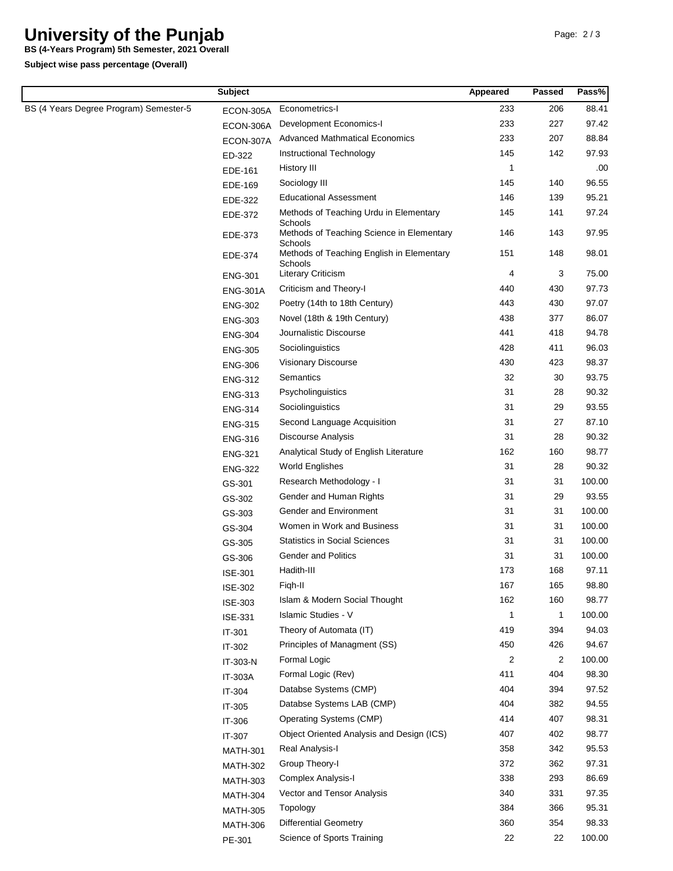## **University of the Punjab**

**Subject wise pass percentage (Overall) BS (4-Years Program) 5th Semester, 2021 Overall**

|                                        | <b>Subject</b>  |                                                      | Appeared       | Passed         | Pass%  |
|----------------------------------------|-----------------|------------------------------------------------------|----------------|----------------|--------|
| BS (4 Years Degree Program) Semester-5 | ECON-305A       | Econometrics-I                                       | 233            | 206            | 88.41  |
|                                        | ECON-306A       | Development Economics-I                              | 233            | 227            | 97.42  |
|                                        | ECON-307A       | <b>Advanced Mathmatical Economics</b>                | 233            | 207            | 88.84  |
|                                        | ED-322          | Instructional Technology                             | 145            | 142            | 97.93  |
|                                        | EDE-161         | History III                                          | 1              |                | .00    |
|                                        | EDE-169         | Sociology III                                        | 145            | 140            | 96.55  |
|                                        | EDE-322         | <b>Educational Assessment</b>                        | 146            | 139            | 95.21  |
|                                        | EDE-372         | Methods of Teaching Urdu in Elementary<br>Schools    | 145            | 141            | 97.24  |
|                                        | EDE-373         | Methods of Teaching Science in Elementary<br>Schools | 146            | 143            | 97.95  |
|                                        | EDE-374         | Methods of Teaching English in Elementary<br>Schools | 151            | 148            | 98.01  |
|                                        | <b>ENG-301</b>  | <b>Literary Criticism</b>                            | 4              | 3              | 75.00  |
|                                        | <b>ENG-301A</b> | Criticism and Theory-I                               | 440            | 430            | 97.73  |
|                                        | <b>ENG-302</b>  | Poetry (14th to 18th Century)                        | 443            | 430            | 97.07  |
|                                        | <b>ENG-303</b>  | Novel (18th & 19th Century)                          | 438            | 377            | 86.07  |
|                                        | <b>ENG-304</b>  | Journalistic Discourse                               | 441            | 418            | 94.78  |
|                                        | <b>ENG-305</b>  | Sociolinguistics                                     | 428            | 411            | 96.03  |
|                                        | <b>ENG-306</b>  | Visionary Discourse                                  | 430            | 423            | 98.37  |
|                                        | <b>ENG-312</b>  | Semantics                                            | 32             | 30             | 93.75  |
|                                        | <b>ENG-313</b>  | Psycholinguistics                                    | 31             | 28             | 90.32  |
|                                        | ENG-314         | Sociolinguistics                                     | 31             | 29             | 93.55  |
|                                        | <b>ENG-315</b>  | Second Language Acquisition                          | 31             | 27             | 87.10  |
|                                        | <b>ENG-316</b>  | <b>Discourse Analysis</b>                            | 31             | 28             | 90.32  |
|                                        | <b>ENG-321</b>  | Analytical Study of English Literature               | 162            | 160            | 98.77  |
|                                        | <b>ENG-322</b>  | World Englishes                                      | 31             | 28             | 90.32  |
|                                        | GS-301          | Research Methodology - I                             | 31             | 31             | 100.00 |
|                                        | GS-302          | Gender and Human Rights                              | 31             | 29             | 93.55  |
|                                        | GS-303          | Gender and Environment                               | 31             | 31             | 100.00 |
|                                        | GS-304          | Women in Work and Business                           | 31             | 31             | 100.00 |
|                                        | GS-305          | <b>Statistics in Social Sciences</b>                 | 31             | 31             | 100.00 |
|                                        | GS-306          | <b>Gender and Politics</b>                           | 31             | 31             | 100.00 |
|                                        | <b>ISE-301</b>  | Hadith-III                                           | 173            | 168            | 97.11  |
|                                        | <b>ISE-302</b>  | Figh-II                                              | 167            | 165            | 98.80  |
|                                        | ISE-303         | Islam & Modern Social Thought                        | 162            | 160            | 98.77  |
|                                        | ISE-331         | <b>Islamic Studies - V</b>                           | $\mathbf{1}$   | $\mathbf{1}$   | 100.00 |
|                                        |                 | Theory of Automata (IT)                              | 419            | 394            | 94.03  |
|                                        | IT-301          | Principles of Managment (SS)                         | 450            | 426            | 94.67  |
|                                        | IT-302          | Formal Logic                                         | $\overline{c}$ | $\overline{2}$ | 100.00 |
|                                        | IT-303-N        | Formal Logic (Rev)                                   | 411            | 404            | 98.30  |
|                                        | <b>IT-303A</b>  | Databse Systems (CMP)                                | 404            | 394            | 97.52  |
|                                        | IT-304          | Databse Systems LAB (CMP)                            | 404            | 382            | 94.55  |
|                                        | IT-305          | Operating Systems (CMP)                              | 414            | 407            | 98.31  |
|                                        | IT-306          |                                                      |                |                |        |
|                                        | IT-307          | Object Oriented Analysis and Design (ICS)            | 407            | 402            | 98.77  |
|                                        | <b>MATH-301</b> | Real Analysis-I                                      | 358            | 342            | 95.53  |
|                                        | <b>MATH-302</b> | Group Theory-I                                       | 372            | 362            | 97.31  |
|                                        | <b>MATH-303</b> | Complex Analysis-I                                   | 338            | 293            | 86.69  |
|                                        | <b>MATH-304</b> | Vector and Tensor Analysis                           | 340            | 331            | 97.35  |
|                                        | <b>MATH-305</b> | Topology                                             | 384            | 366            | 95.31  |
|                                        | <b>MATH-306</b> | <b>Differential Geometry</b>                         | 360            | 354            | 98.33  |
|                                        | PE-301          | Science of Sports Training                           | 22             | 22             | 100.00 |